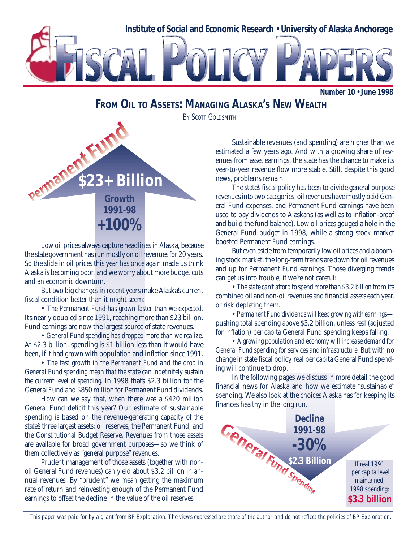

**Number 10 • June 1998**

# **FROM OIL TO ASSETS: MANAGING ALASKA'S NEW WEALTH**

**BY SCOTT GOLDSMITH** 



Low oil prices always capture headlines in Alaska, because the state government has run mostly on oil revenues for 20 years. So the slide in oil prices this year has once again made us think Alaska is becoming poor, and we worry about more budget cuts and an economic downturn.

But two big changes in recent years make Alaska's current fiscal condition better than it might seem:

• *The Permanent Fund has grown faster than we expected.* It's nearly doubled since 1991, reaching more than \$23 billion. Fund earnings are now the largest source of state revenues.

• *General Fund spending has dropped more than we realize.* At \$2.3 billion, spending is \$1 billion less than it would have been, if it had grown with population and inflation since 1991.

• *The fast growth in the Permanent Fund and the drop in General Fund spending mean that the state can indefinitely sustain the current level of spending.* In 1998 that's \$2.3 billion for the General Fund and \$850 million for Permanent Fund dividends.

How can we say that, when there was a \$420 million General Fund deficit this year? Our estimate of sustainable spending is based on the revenue-generating capacity of the state's three largest assets: oil reserves, the Permanent Fund, and the Constitutional Budget Reserve. Revenues from those assets are available for broad government purposes—so we think of them collectively as "general purpose" revenues.

Prudent management of those assets (together with nonoil General Fund revenues) can yield about \$3.2 billion in annual revenues. By "prudent" we mean getting the maximum rate of return and reinvesting enough of the Permanent Fund earnings to offset the decline in the value of the oil reserves.

Sustainable revenues (and spending) are higher than we estimated a few years ago. And with a growing share of revenues from asset earnings, the state has the chance to make its year-to-year revenue flow more stable. Still, despite this good news, problems remain.

The state's fiscal policy has been to divide general purpose revenues into two categories: oil revenues have mostly paid General Fund expenses, and Permanent Fund earnings have been used to pay dividends to Alaskans (as well as to inflation-proof and build the fund balance). Low oil prices gouged a hole in the General Fund budget in 1998, while a strong stock market boosted Permanent Fund earnings.

But even aside from temporarily low oil prices and a booming stock market, the long-term trends are down for oil revenues and up for Permanent Fund earnings. Those diverging trends can get us into trouble, if we're not careful:

• *The state can't afford to spend more than \$3.2 billion* from its combined oil and non-oil revenues and financial assets each year, or risk depleting them.

• *Permanent Fund dividends will keep growing with earnings* pushing total spending above \$3.2 billion, unless real (adjusted for inflation) per capita General Fund spending keeps falling.

• *A growing population and economy will increase demand for General Fund spending for services and infrastructure.* But with no change in state fiscal policy, real per capita General Fund spending will continue to drop.

In the following pages we discuss in more detail the good financial news for Alaska and how we estimate "sustainable" spending. We also look at the choices Alaska has for keeping its finances healthy in the long run.



 *This paper was paid for by a grant from BP Exploration. The views expressed are those of the author and do not reflect the policies of BP Exploration.*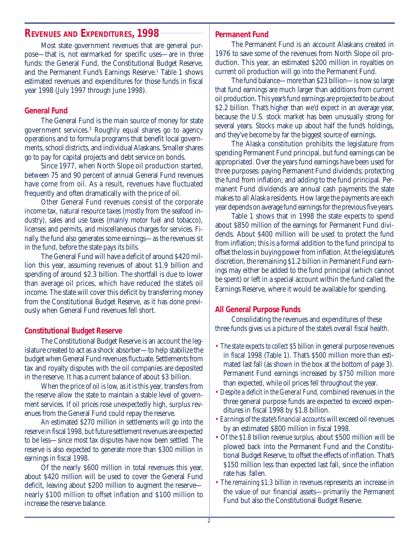# **REVENUES AND EXPENDITURES, 1998**

Most state government revenues that are general purpose—that is, not earmarked for specific uses—are in three funds: the General Fund, the Constitutional Budget Reserve, and the Permanent Fund's Earnings Reserve.<sup>1</sup> Table 1 shows estimated revenues and expenditures for those funds in fiscal year 1998 (July 1997 through June 1998).

## **General Fund**

The General Fund is the main source of money for state government services.2 Roughly equal shares go to agency operations and to formula programs that benefit local governments, school districts, and individual Alaskans. Smaller shares go to pay for capital projects and debt service on bonds.

Since 1977, when North Slope oil production started, between 75 and 90 percent of annual General Fund revenues have come from oil. As a result, revenues have fluctuated frequently and often dramatically with the price of oil.

Other General Fund revenues consist of the corporate income tax, natural resource taxes (mostly from the seafood industry), sales and use taxes (mainly motor fuel and tobacco), licenses and permits, and miscellaneous charges for services. Finally, the fund also generates some earnings—as the revenues sit in the fund, before the state pays its bills.

The General Fund will have a deficit of around \$420 million this year, assuming revenues of about \$1.9 billion and spending of around \$2.3 billion. The shortfall is due to lower than average oil prices, which have reduced the state's oil income. The state will cover this deficit by transferring money from the Constitutional Budget Reserve, as it has done previously when General Fund revenues fell short.

## **Constitutional Budget Reserve**

The Constitutional Budget Reserve is an account the legislature created to act as a shock absorber—to help stabilize the budget when General Fund revenues fluctuate. Settlements from tax and royalty disputes with the oil companies are deposited in the reserve. It has a current balance of about \$3 billion.

When the price of oil is low, as it is this year, transfers from the reserve allow the state to maintain a stable level of government services. If oil prices rose unexpectedly high, surplus revenues from the General Fund could repay the reserve.

An estimated \$270 million in settlements will go into the reserve in fiscal 1998, but future settlement revenues are expected to be less—since most tax disputes have now been settled. The reserve is also expected to generate more than \$300 million in earnings in fiscal 1998.

Of the nearly \$600 million in total revenues this year, about \$420 million will be used to cover the General Fund deficit, leaving about \$200 million to augment the reserve nearly \$100 million to offset inflation and \$100 million to increase the reserve balance.

## **Permanent Fund**

The Permanent Fund is an account Alaskans created in 1976 to save some of the revenues from North Slope oil production. This year, an estimated \$200 million in royalties on current oil production will go into the Permanent Fund.

The fund balance—more than \$23 billion—is now so large that fund earnings are much larger than additions from current oil production. This year's fund earnings are projected to be about \$2.2 billion. That's higher than we'd expect in an average year, because the U.S. stock market has been unusually strong for several years. Stocks make up about half the fund's holdings, and they've become by far the biggest source of earnings.

The Alaska constitution prohibits the legislature from spending Permanent Fund principal, but fund earnings can be appropriated. Over the years fund earnings have been used for three purposes: paying Permanent Fund dividends; protecting the fund from inflation; and adding to the fund principal. Permanent Fund dividends are annual cash payments the state makes to all Alaska residents. How large the payments are each year depends on average fund earnings for the previous five years.

Table 1 shows that in 1998 the state expects to spend about \$850 million of the earnings for Permanent Fund dividends. About \$400 million will be used to protect the fund from inflation; this is a formal addition to the fund principal to offset the loss in buying power from inflation. At the legislature's discretion, the remaining \$1.2 billion in Permanent Fund earnings may either be added to the fund principal (which cannot be spent) or left in a special account within the fund called the Earnings Reserve, where it would be available for spending.

## **All General Purpose Funds**

Consolidating the revenues and expenditures of these three funds gives us a picture of the state's overall fiscal health.

- *The state expects to collect \$5 billion* in general purpose revenues in fiscal 1998 (Table 1). That's \$500 million more than estimated last fall (as shown in the box at the bottom of page 3). Permanent Fund earnings increased by \$750 million more than expected, while oil prices fell throughout the year.
- *Despite a deficit in the General Fund,* combined revenues in the three general purpose funds are expected to exceed expenditures in fiscal 1998 by \$1.8 billion.
- *Earnings of the state's financial accounts* will exceed oil revenues by an estimated \$800 million in fiscal 1998.
- *Of the \$1.8 billion revenue surplus,* about \$500 million will be plowed back into the Permanent Fund and the Constitutional Budget Reserve, to offset the effects of inflation. That's \$150 million less than expected last fall, since the inflation rate has fallen.
- *The remaining \$1.3 billion in revenues* represents an increase in the value of our financial assets—primarily the Permanent Fund but also the Constitutional Budget Reserve.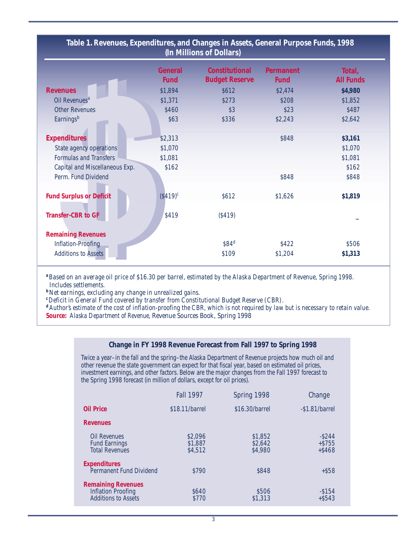| Table 1. Revenues, Expenditures, and Changes in Assets, General Purpose Funds, 1998<br>(In Millions of Dollars) |                               |                                                |                                 |                            |  |  |
|-----------------------------------------------------------------------------------------------------------------|-------------------------------|------------------------------------------------|---------------------------------|----------------------------|--|--|
|                                                                                                                 | <b>General</b><br><b>Fund</b> | <b>Constitutional</b><br><b>Budget Reserve</b> | <b>Permanent</b><br><b>Fund</b> | Total,<br><b>All Funds</b> |  |  |
| <b>Revenues</b>                                                                                                 | \$1,894                       | \$612                                          | \$2,474                         | \$4,980                    |  |  |
| Oil Revenues <sup>a</sup>                                                                                       | \$1,371                       | \$273                                          | \$208                           | \$1,852                    |  |  |
| <b>Other Revenues</b>                                                                                           | \$460                         | \$3                                            | \$23                            | \$487                      |  |  |
| Earnings <sup>b</sup>                                                                                           | \$63                          | \$336                                          | \$2,243                         | \$2,642                    |  |  |
| <b>Expenditures</b>                                                                                             | \$2,313                       |                                                | \$848                           | \$3,161                    |  |  |
| State agency operations                                                                                         | \$1,070                       |                                                |                                 | \$1,070                    |  |  |
| <b>Formulas and Transfers</b>                                                                                   | \$1,081                       |                                                |                                 | \$1,081                    |  |  |
| Capital and Miscellaneous Exp.                                                                                  | \$162                         |                                                |                                 | \$162                      |  |  |
| Perm. Fund Dividend                                                                                             |                               |                                                | \$848                           | \$848                      |  |  |
| <b>Fund Surplus or Deficit</b>                                                                                  | $($419)^c$                    | \$612                                          | \$1,626                         | \$1,819                    |  |  |
| <b>Transfer-CBR to GF</b>                                                                                       | \$419                         | (\$419)                                        |                                 |                            |  |  |
| <b>Remaining Revenues</b>                                                                                       |                               |                                                |                                 |                            |  |  |
| <b>Inflation-Proofing</b>                                                                                       |                               | \$84 <sup>d</sup>                              | \$422                           | \$506                      |  |  |
| <b>Additions to Assets</b>                                                                                      |                               | \$109                                          | \$1,204                         | \$1,313                    |  |  |

**<sup>a</sup>***Based on an average oil price of \$16.30 per barrel, estimated by the Alaska Department of Revenue, Spring 1998. Includes settlements.*

**b** *Net earnings, excluding any change in unrealized gains.* **c**<sup>**c**</sup>*Deficit in General Fund covered by transfer from Constitutional Budget Reserve (CBR).* 

**<sup>d</sup>***Author's estimate of the cost of inflation-proofing the CBR, which is not required by law but is necessary to retain value.* **Source:** *Alaska Department of Revenue,* Revenue Sources Book, Spring 1998

#### **Change in FY 1998 Revenue Forecast from Fall 1997 to Spring 1998**

Twice a year–in the fall and the spring–the Alaska Department of Revenue projects how much oil and other revenue the state government can expect for that fiscal year, based on estimated oil prices, investment earnings, and other factors. Below are the major changes from the Fall 1997 forecast to the Spring 1998 forecast (in million of dollars, except for oil prices).

|                                                                                      | <b>Fall 1997</b>              | Spring 1998                   | Change                             |
|--------------------------------------------------------------------------------------|-------------------------------|-------------------------------|------------------------------------|
| <b>Oil Price</b>                                                                     | \$18.11/barrel                | \$16.30/barrel                | $-$1.81/barrel$                    |
| <b>Revenues</b>                                                                      |                               |                               |                                    |
| <b>Oil Revenues</b><br><b>Fund Earnings</b><br><b>Total Revenues</b>                 | \$2,096<br>\$1,887<br>\$4,512 | \$1,852<br>\$2,642<br>\$4,980 | $-$ \$244<br>$+ $755$<br>$+$ \$468 |
| <b>Expenditures</b><br>Permanent Fund Dividend                                       | \$790                         | \$848                         | $+$ \$58                           |
| <b>Remaining Revenues</b><br><b>Inflation Proofing</b><br><b>Additions to Assets</b> | \$640<br>\$770                | \$506<br>\$1,313              | $-$ \$154<br>$+$ \$543             |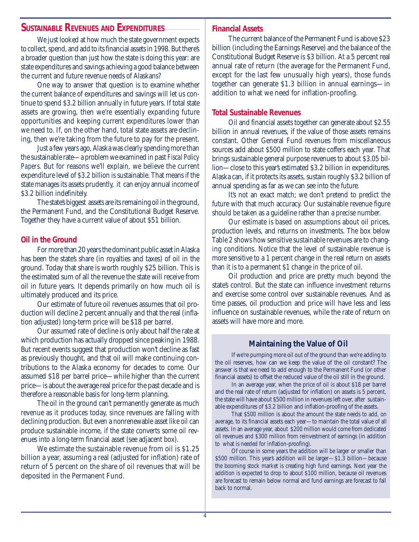## **SUSTAINABLE REVENUES AND EXPENDITURES**

We just looked at how much the state government expects to collect, spend, and add to its financial assets in 1998. But there's a broader question than just how the state is doing this year: are state expenditures and savings achieving a good balance between the current and future revenue needs of Alaskans?

One way to answer that question is to examine whether the current balance of expenditures and savings will let us continue to spend \$3.2 billion annually in future years. If total state assets are growing, then we're essentially expanding future opportunities and keeping current expenditures lower than we need to. If, on the other hand, total state assets are declining, then we're taking from the future to pay for the present.

Just a few years ago, Alaska was clearly spending more than the sustainable rate—a problem we examined in past *Fiscal Policy Papers*. But for reasons we'll explain, we believe the current expenditure level of \$3.2 billion is sustainable. That means if the state manages its assets prudently, it can enjoy annual income of \$3.2 billion indefinitely.

The state's biggest assets are its remaining oil in the ground, the Permanent Fund, and the Constitutional Budget Reserve. Together they have a current value of about \$51 billion.

## **Oil in the Ground**

For more than 20 years the dominant public asset in Alaska has been the state's share (in royalties and taxes) of oil in the ground. Today that share is worth roughly \$25 billion. This is the estimated sum of all the revenue the state will receive from oil in future years. It depends primarily on how much oil is ultimately produced and its price.

Our estimate of future oil revenues assumes that oil production will decline 2 percent annually and that the real (inflation adjusted) long-term price will be \$18 per barrel.

Our assumed rate of decline is only about half the rate at which production has actually dropped since peaking in 1988. But recent events suggest that production won't decline as fast as previously thought, and that oil will make continuing contributions to the Alaska economy for decades to come. Our assumed \$18 per barrel price—while higher than the current price—is about the average real price for the past decade and is therefore a reasonable basis for long-term planning.

The oil in the ground can't permanently generate as much revenue as it produces today, since revenues are falling with declining production. But even a nonrenewable asset like oil can produce sustainable income, if the state converts some oil revenues into a long-term financial asset (see adjacent box).

We estimate the sustainable revenue from oil is \$1.25 billion a year, assuming a real (adjusted for inflation) rate of return of 5 percent on the share of oil revenues that will be deposited in the Permanent Fund.

## **Financial Assets**

The current balance of the Permanent Fund is above \$23 billion (including the Earnings Reserve) and the balance of the Constitutional Budget Reserve is \$3 billion. At a 5 percent real annual rate of return (the average for the Permanent Fund, except for the last few unusually high years), those funds together can generate \$1.3 billion in annual earnings—in addition to what we need for inflation-proofing.

## **Total Sustainable Revenues**

Oil and financial assets together can generate about \$2.55 billion in annual revenues, if the value of those assets remains constant. Other General Fund revenues from miscellaneous sources add about \$500 million to state coffers each year. That brings sustainable general purpose revenues to about \$3.05 billion—close to this year's estimated \$3.2 billion in expenditures. Alaska can, if it protects its assets, sustain roughly \$3.2 billion of annual spending as far as we can see into the future.

It's not an exact match; we don't pretend to predict the future with that much accuracy. Our sustainable revenue figure should be taken as a guideline rather than a precise number.

Our estimate is based on assumptions about oil prices, production levels, and returns on investments. The box below Table 2 shows how sensitive sustainable revenues are to changing conditions. Notice that the level of sustainable revenue is more sensitive to a 1 percent change in the real return on assets than it is to a permanent \$1 change in the price of oil.

Oil production and price are pretty much beyond the state's control. But the state can influence investment returns and exercise some control over sustainable revenues. And as time passes, oil production and price will have less and less influence on sustainable revenues, while the rate of return on assets will have more and more.

## **Maintaining the Value of Oil**

If we're pumping more oil out of the ground than we're adding to the oil reserves, how can we keep the value of the oil constant? The answer is that we need to add enough to the Permanent Fund (or other financial assets) to offset the reduced value of the oil still in the ground.

In an average year, when the price of oil is about \$18 per barrel and the real rate of return (adjusted for inflation) on assets is 5 percent, the state will have about \$500 million in revenues left over, after sustainable expenditures of \$3.2 billion and inflation-proofing of the assets.

That \$500 million is about the amount the state needs to add, on average, to its financial assets each year—to maintain the total value of all assets. In an average year, about \$200 million would come from dedicated oil revenues and \$300 million from reinvestment of earnings (in addition to what is needed for inflation-proofing).

Of course in some years the addition will be larger or smaller than \$500 million. This year's addition will be larger—\$1.3 billion—because the booming stock market is creating high fund earnings. Next year the addition is expected to drop to about \$100 million, because oil revenues are forecast to remain below normal and fund earnings are forecast to fall back to normal.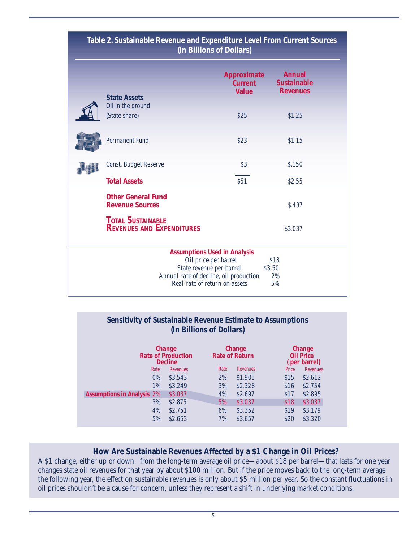|                                                              | <b>Approximate</b><br><b>Current</b>                                                                                        | <b>Annual</b><br><b>Sustainable</b> |
|--------------------------------------------------------------|-----------------------------------------------------------------------------------------------------------------------------|-------------------------------------|
| <b>State Assets</b><br>Oil in the ground                     | <b>Value</b>                                                                                                                | <b>Revenues</b>                     |
| (State share)                                                | \$25                                                                                                                        | \$1.25                              |
| <b>Permanent Fund</b>                                        | \$23                                                                                                                        | \$1.15                              |
| Const. Budget Reserve                                        | \$3                                                                                                                         | \$.150                              |
| <b>Total Assets</b>                                          | \$51                                                                                                                        | \$2.55                              |
| <b>Other General Fund</b><br><b>Revenue Sources</b>          |                                                                                                                             | \$.487                              |
| <b>TOTAL SUSTAINABLE</b><br><b>REVENUES AND EXPENDITURES</b> |                                                                                                                             | \$3.037                             |
|                                                              | <b>Assumptions Used in Analysis</b>                                                                                         |                                     |
|                                                              | Oil price per barrel<br>State revenue per barrel<br>Annual rate of decline, oil production<br>Real rate of return on assets | \$18<br>\$3.50<br>2%<br>5%          |

# **Table 2. Sustainable Revenue and Expenditure Level From Current Sources**

## **Sensitivity of Sustainable Revenue Estimate to Assumptions (In Billions of Dollars)**

|                                   | Change<br><b>Rate of Production</b><br><b>Decline</b> |          |      | Change<br><b>Rate of Return</b> |       | Change<br><b>Oil Price</b><br>(per barrel) |  |
|-----------------------------------|-------------------------------------------------------|----------|------|---------------------------------|-------|--------------------------------------------|--|
|                                   | Rate                                                  | Revenues | Rate | Revenues                        | Price | Revenues                                   |  |
|                                   | $0\%$                                                 | \$3.543  | 2%   | \$1.905                         | \$15  | \$2.612                                    |  |
|                                   | 1%                                                    | \$3.249  | 3%   | \$2.328                         | \$16  | \$2.754                                    |  |
| <b>Assumptions in Analysis 2%</b> |                                                       | \$3.037  | 4%   | \$2.697                         | \$17  | \$2.895                                    |  |
|                                   | 3%                                                    | \$2.875  | 5%   | \$3.037                         | \$18  | \$3.037                                    |  |
|                                   | 4%                                                    | \$2.751  | 6%   | \$3.352                         | \$19  | \$3.179                                    |  |
|                                   | 5%                                                    | \$2.653  | 7%   | \$3.657                         | \$20  | \$3.320                                    |  |

## **How Are Sustainable Revenues Affected by a \$1 Change in Oil Prices?**

A \$1 change, either up or down, from the long-term average oil price—about \$18 per barrel—that lasts for one year changes state oil revenues for that year by about \$100 million. But if the price moves back to the long-term average the following year, the effect on sustainable revenues is only about \$5 million per year. So the constant fluctuations in oil prices shouldn't be a cause for concern, unless they represent a shift in underlying market conditions.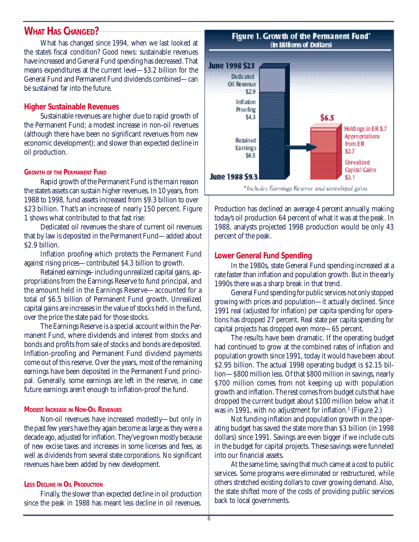## **WHAT HAS CHANGED?**

What has changed since 1994, when we last looked at the state's fiscal condition? Good news: sustainable revenues have increased and General Fund spending has decreased. That means expenditures at the current level—\$3.2 billion for the General Fund and Permanent Fund dividends combined—can be sustained far into the future.

## **Higher Sustainable Revenues**

Sustainable revenues are higher due to rapid growth of the Permanent Fund; a modest increase in non-oil revenues (although there have been no significant revenues from new economic development); and slower than expected decline in oil production.

#### **GROWTH OF THE PERMANENT FUND**

Rapid growth of the Permanent Fund is the main reason the state's assets can sustain higher revenues. In 10 years, from 1988 to 1998, fund assets increased from \$9.3 billion to over \$23 billion. That's an increase of nearly 150 percent. Figure 1 shows what contributed to that fast rise:

*Dedicated oil revenues*—the share of current oil revenues that by law is deposited in the Permanent Fund—added about \$2.9 billion.

*Inflation proofing*—which protects the Permanent Fund against rising prices—contributed \$4.3 billion to growth.

*Retained earnings*—including unrealized capital gains, appropriations from the Earnings Reserve to fund principal, and the amount held in the Earnings Reserve—accounted for a total of \$6.5 billion of Permanent Fund growth. Unrealized capital gains are increases in the value of stocks held in the fund, over the price the state paid for those stocks.

The Earnings Reserve is a special account within the Permanent Fund, where dividends and interest from stocks and bonds and profits from sale of stocks and bonds are deposited. Inflation-proofing and Permanent Fund dividend payments come out of this reserve. Over the years, most of the remaining earnings have been deposited in the Permanent Fund principal. Generally, some earnings are left in the reserve, in case future earnings aren't enough to inflation-proof the fund.

#### **MODEST INCREASE IN NON-OIL REVENUES**

Non-oil revenues have increased modestly—but only in the past few years have they again become as large as they were a decade ago, adjusted for inflation. They've grown mostly because of new excise taxes and increases in some licenses and fees, as well as dividends from several state corporations. No significant revenues have been added by new development.

#### **LESS DECLINE IN OIL PRODUCTION**

Finally, the slower than expected decline in oil production since the peak in 1988 has meant less decline in oil revenues.



Production has declined an average 4 percent annually, making today's oil production 64 percent of what it was at the peak. In 1988, analysts projected 1998 production would be only 43 percent of the peak.

## **Lower General Fund Spending**

In the 1980s, state General Fund spending increased at a rate faster than inflation and population growth. But in the early 1990s there was a sharp break in that trend.

General Fund spending for public services not only stopped growing with prices and population—it actually declined. Since 1991 real (adjusted for inflation) per capita spending for operations has dropped 27 percent. Real state per capita spending for capital projects has dropped even more—65 percent.

The results have been dramatic. If the operating budget had continued to grow at the combined rates of inflation and population growth since 1991, today it would have been about \$2.95 billion. The actual 1998 operating budget is \$2.15 billion—\$800 million less. Of that \$800 million in savings, nearly \$700 million comes from not keeping up with population growth and inflation. The rest comes from budget cuts that have dropped the current budget about \$100 million below what it was in 1991, with no adjustment for inflation.<sup>3</sup> (Figure 2.)

Not funding inflation and population growth in the operating budget has saved the state more than \$3 billion (in 1998 dollars) since 1991. Savings are even bigger if we include cuts in the budget for capital projects. These savings were funneled into our financial assets.

At the same time, saving that much came at a cost to public services. Some programs were eliminated or restructured, while others stretched existing dollars to cover growing demand. Also, the state shifted more of the costs of providing public services back to local governments.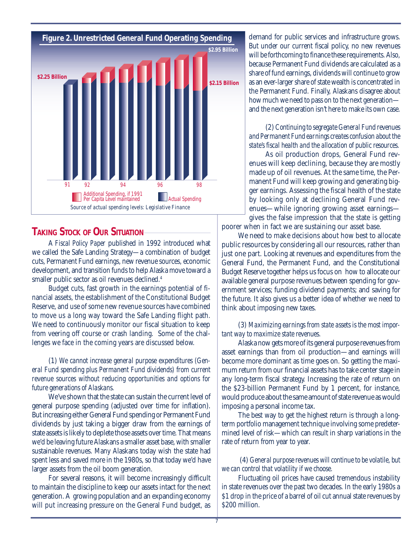

## **TAKING STOCK OF OUR SITUATION**

A *Fiscal Policy Paper* published in 1992 introduced what we called the Safe Landing Strategy—a combination of budget cuts, Permanent Fund earnings, new revenue sources, economic development, and transition funds to help Alaska move toward a smaller public sector as oil revenues declined.4

Budget cuts, fast growth in the earnings potential of financial assets, the establishment of the Constitutional Budget Reserve, and use of some new revenue sources have combined to move us a long way toward the Safe Landing flight path. We need to continuously monitor our fiscal situation to keep from veering off course or crash landing. Some of the challenges we face in the coming years are discussed below.

(1) *We cannot increase general purpose expenditures (General Fund spending plus Permanent Fund dividends) from current revenue sources without reducing opportunities and options for future generations of Alaskans.*

We've shown that the state can sustain the current level of general purpose spending (adjusted over time for inflation). But increasing either General Fund spending or Permanent Fund dividends by just taking a bigger draw from the earnings of state assets is likely to deplete those assets over time. That means we'd be leaving future Alaskans a smaller asset base, with smaller sustainable revenues. Many Alaskans today wish the state had spent less and saved more in the 1980s, so that today we'd have larger assets from the oil boom generation.

For several reasons, it will become increasingly difficult to maintain the discipline to keep our assets intact for the next generation. A growing population and an expanding economy will put increasing pressure on the General Fund budget, as

demand for public services and infrastructure grows. But under our current fiscal policy, no new revenues will be forthcoming to finance these requirements. Also, because Permanent Fund dividends are calculated as a share of fund earnings, dividends will continue to grow as an ever-larger share of state wealth is concentrated in the Permanent Fund. Finally, Alaskans disagree about how much we need to pass on to the next generation and the next generation isn't here to make its own case.

(2) *Continuing to segregate General Fund revenues and Permanent Fund earnings creates confusion about the state's fiscal health and the allocation of public resources.*

As oil production drops, General Fund revenues will keep declining, because they are mostly made up of oil revenues. At the same time, the Permanent Fund will keep growing and generating bigger earnings. Assessing the fiscal health of the state by looking only at declining General Fund revenues—while ignoring growing asset earnings gives the false impression that the state is getting

poorer when in fact we are sustaining our asset base.

We need to make decisions about how best to allocate public resources by considering all our resources, rather than just one part. Looking at revenues and expenditures from the General Fund, the Permanent Fund, and the Constitutional Budget Reserve together helps us focus on how to allocate our available general purpose revenues between spending for government services; funding dividend payments; and saving for the future. It also gives us a better idea of whether we need to think about imposing new taxes.

(3) *Maximizing earnings from state assets is the most important way to maximize state revenues.*

Alaska now gets more of its general purpose revenues from asset earnings than from oil production—and earnings will become more dominant as time goes on. So getting the maximum return from our financial assets has to take center stage in any long-term fiscal strategy. Increasing the rate of return on the \$23-billion Permanent Fund by 1 percent, for instance, would produce about the same amount of state revenue as would imposing a personal income tax.

The best way to get the highest return is through a longterm portfolio management technique involving some predetermined level of risk—which can result in sharp variations in the rate of return from year to year.

 (4) *General purpose revenues will continue to be volatile, but we can control that volatility if we choose.*

Fluctuating oil prices have caused tremendous instability in state revenues over the past two decades. In the early 1980s a \$1 drop in the price of a barrel of oil cut annual state revenues by \$200 million.

7